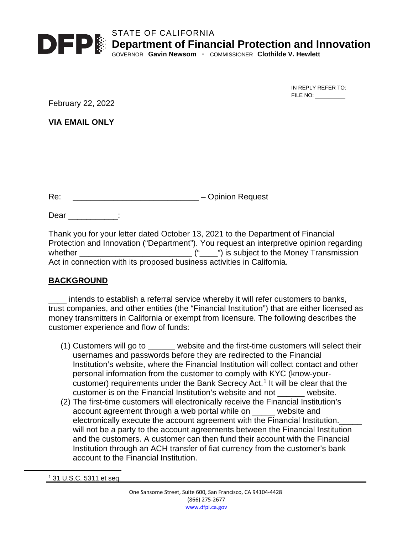

STATE OF CALIFORNIA **Department of Financial Protection and Innovation**

GOVERNOR **Gavin Newsom ·** COMMISSIONER **Clothilde V. Hewlett**

IN REPLY REFER TO: FILE NO:

February 22, 2022

**VIA EMAIL ONLY**

Re: \_\_\_\_\_\_\_\_\_\_\_\_\_\_\_\_\_\_\_\_\_\_\_\_\_\_\_\_ – Opinion Request

Dear \_\_\_\_\_\_\_\_\_\_:

Thank you for your letter dated October 13, 2021 to the Department of Financial Protection and Innovation ("Department"). You request an interpretive opinion regarding whether \_\_\_\_\_\_\_\_\_\_\_\_\_\_\_\_\_\_\_\_\_\_\_\_\_ ("\_\_\_\_") is subject to the Money Transmission Act in connection with its proposed business activities in California.

## **BACKGROUND**

\_\_\_\_ intends to establish a referral service whereby it will refer customers to banks, trust companies, and other entities (the "Financial Institution") that are either licensed as money transmitters in California or exempt from licensure. The following describes the customer experience and flow of funds:

- (1) Customers will go to \_\_\_\_\_\_ website and the first-time customers will select their usernames and passwords before they are redirected to the Financial Institution's website, where the Financial Institution will collect contact and other personal information from the customer to comply with KYC (know-yourcustomer) requirements under the Bank Secrecy Act. [1](#page-0-0) It will be clear that the customer is on the Financial Institution's website and not \_\_\_\_\_\_ website.
- (2) The first-time customers will electronically receive the Financial Institution's account agreement through a web portal while on \_\_\_\_\_ website and electronically execute the account agreement with the Financial Institution. will not be a party to the account agreements between the Financial Institution and the customers. A customer can then fund their account with the Financial Institution through an ACH transfer of fiat currency from the customer's bank account to the Financial Institution.

<span id="page-0-0"></span><sup>1</sup> 31 U.S.C. 5311 et seq.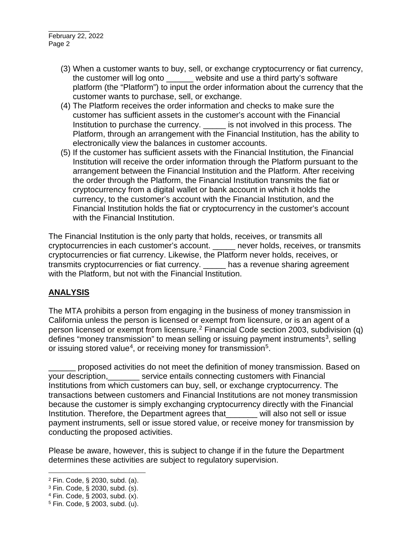- (3) When a customer wants to buy, sell, or exchange cryptocurrency or fiat currency, the customer will log onto website and use a third party's software platform (the "Platform") to input the order information about the currency that the customer wants to purchase, sell, or exchange.
- (4) The Platform receives the order information and checks to make sure the customer has sufficient assets in the customer's account with the Financial Institution to purchase the currency. \_\_\_\_\_ is not involved in this process. The Platform, through an arrangement with the Financial Institution, has the ability to electronically view the balances in customer accounts.
- (5) If the customer has sufficient assets with the Financial Institution, the Financial Institution will receive the order information through the Platform pursuant to the arrangement between the Financial Institution and the Platform. After receiving the order through the Platform, the Financial Institution transmits the fiat or cryptocurrency from a digital wallet or bank account in which it holds the currency, to the customer's account with the Financial Institution, and the Financial Institution holds the fiat or cryptocurrency in the customer's account with the Financial Institution.

The Financial Institution is the only party that holds, receives, or transmits all cryptocurrencies in each customer's account. \_\_\_\_\_ never holds, receives, or transmits cryptocurrencies or fiat currency. Likewise, the Platform never holds, receives, or transmits cryptocurrencies or fiat currency. \_\_\_\_\_ has a revenue sharing agreement with the Platform, but not with the Financial Institution.

## **ANALYSIS**

The MTA prohibits a person from engaging in the business of money transmission in California unless the person is licensed or exempt from licensure, or is an agent of a person licensed or exempt from licensure.[2](#page-1-0) Financial Code section 2003, subdivision (q) defines "money transmission" to mean selling or issuing payment instruments<sup>[3](#page-1-1)</sup>, selling or issuing stored value<sup>[4](#page-1-2)</sup>, or receiving money for transmission<sup>[5](#page-1-3)</sup>.

\_\_\_\_\_\_ proposed activities do not meet the definition of money transmission. Based on vour description, \_\_\_\_\_\_\_ service entails connecting customers with Financial Institutions from which customers can buy, sell, or exchange cryptocurrency. The transactions between customers and Financial Institutions are not money transmission because the customer is simply exchanging cryptocurrency directly with the Financial Institution. Therefore, the Department agrees that will also not sell or issue payment instruments, sell or issue stored value, or receive money for transmission by conducting the proposed activities.

Please be aware, however, this is subject to change if in the future the Department determines these activities are subject to regulatory supervision.

<span id="page-1-0"></span><sup>2</sup> Fin. Code, § 2030, subd. (a).

<span id="page-1-1"></span><sup>3</sup> Fin. Code, § 2030, subd. (s).

<span id="page-1-2"></span><sup>4</sup> Fin. Code, § 2003, subd. (x).

<span id="page-1-3"></span><sup>5</sup> Fin. Code, § 2003, subd. (u).